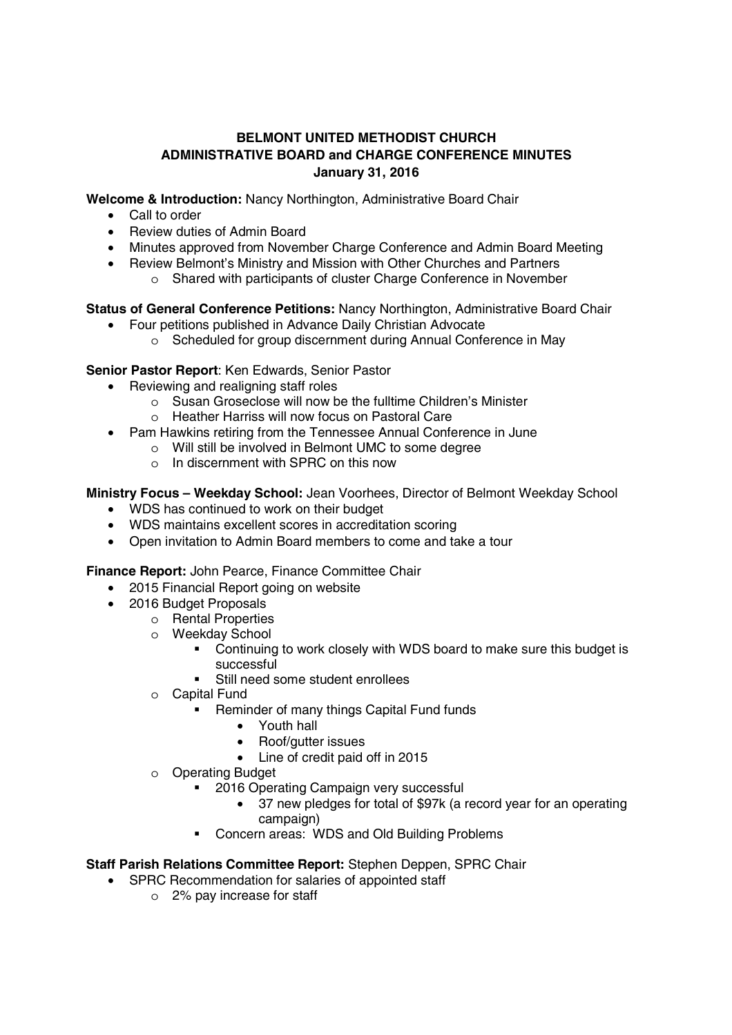## **BELMONT UNITED METHODIST CHURCH ADMINISTRATIVE BOARD and CHARGE CONFERENCE MINUTES January 31, 2016**

**Welcome & Introduction:** Nancy Northington, Administrative Board Chair

- Call to order
- Review duties of Admin Board
- Minutes approved from November Charge Conference and Admin Board Meeting
- Review Belmont's Ministry and Mission with Other Churches and Partners
	- o Shared with participants of cluster Charge Conference in November

**Status of General Conference Petitions:** Nancy Northington, Administrative Board Chair

- Four petitions published in Advance Daily Christian Advocate
	- o Scheduled for group discernment during Annual Conference in May

**Senior Pastor Report**: Ken Edwards, Senior Pastor

- Reviewing and realigning staff roles
	- o Susan Groseclose will now be the fulltime Children's Minister
	- o Heather Harriss will now focus on Pastoral Care
- Pam Hawkins retiring from the Tennessee Annual Conference in June
	- o Will still be involved in Belmont UMC to some degree
		- o In discernment with SPRC on this now

**Ministry Focus – Weekday School:** Jean Voorhees, Director of Belmont Weekday School

- WDS has continued to work on their budget
- WDS maintains excellent scores in accreditation scoring
- Open invitation to Admin Board members to come and take a tour

**Finance Report:** John Pearce, Finance Committee Chair

- 2015 Financial Report going on website
- 2016 Budget Proposals
	- o Rental Properties
	- o Weekday School
		- Continuing to work closely with WDS board to make sure this budget is successful
		- Still need some student enrollees
	- o Capital Fund
		- **Reminder of many things Capital Fund funds** 
			- Youth hall
			- Roof/gutter issues
			- Line of credit paid off in 2015
	- o Operating Budget
		- **2016 Operating Campaign very successful** 
			- 37 new pledges for total of \$97k (a record year for an operating campaign)
		- Concern areas: WDS and Old Building Problems

## **Staff Parish Relations Committee Report:** Stephen Deppen, SPRC Chair

- SPRC Recommendation for salaries of appointed staff
	- o 2% pay increase for staff